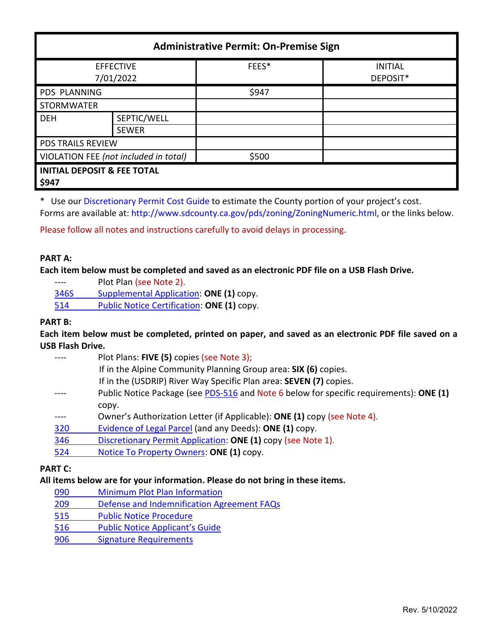| <b>Administrative Permit: On-Premise Sign</b>   |              |       |                            |  |  |
|-------------------------------------------------|--------------|-------|----------------------------|--|--|
| <b>EFFECTIVE</b><br>7/01/2022                   |              | FEES* | <b>INITIAL</b><br>DEPOSIT* |  |  |
| PDS PLANNING                                    |              | \$947 |                            |  |  |
| <b>STORMWATER</b>                               |              |       |                            |  |  |
| <b>DEH</b>                                      | SEPTIC/WELL  |       |                            |  |  |
|                                                 | <b>SEWER</b> |       |                            |  |  |
| <b>PDS TRAILS REVIEW</b>                        |              |       |                            |  |  |
| VIOLATION FEE (not included in total)           |              | \$500 |                            |  |  |
| <b>INITIAL DEPOSIT &amp; FEE TOTAL</b><br>\$947 |              |       |                            |  |  |

\* Use ou[r Discretionary Permit Cost Guide](http://www.sandiegocounty.gov/content/dam/sdc/pds/docs/Discretionary_Permit_Cost_Guide.xlsx) to estimate the County portion of your project's cost. Forms are available at[: http://www.sdcounty.ca.gov/pds/zoning/ZoningNumeric.html,](http://www.sdcounty.ca.gov/pds/zoning/ZoningNumeric.html) or the links below.

Please follow all notes and instructions carefully to avoid delays in processing.

# **PART A:**

**Each item below must be completed and saved as an electronic PDF file on a USB Flash Drive.**

---- Plot Plan (see Note 2).

[346S Supplemental Application:](https://www.sandiegocounty.gov/content/dam/sdc/pds/zoning/formfields/PDS-PLN-346S.pdf) **ONE (1)** copy.

514 [Public Notice Certification:](https://www.sandiegocounty.gov/content/dam/sdc/pds/zoning/formfields/PDS-PLN-514.pdf) **ONE (1)** copy.

### **PART B:**

**Each item below must be completed, printed on paper, and saved as an electronic PDF file saved on a USB Flash Drive.** 

|     | Plot Plans: FIVE (5) copies (see Note 3);                                                                                                                                                                                                                                                                       |
|-----|-----------------------------------------------------------------------------------------------------------------------------------------------------------------------------------------------------------------------------------------------------------------------------------------------------------------|
|     | If in the Alpine Community Planning Group area: SIX (6) copies.                                                                                                                                                                                                                                                 |
|     | If in the (USDRIP) River Way Specific Plan area: SEVEN (7) copies.                                                                                                                                                                                                                                              |
|     | Public Notice Package (see PDS-516 and Note 6 below for specific requirements): ONE (1)                                                                                                                                                                                                                         |
|     | copy.                                                                                                                                                                                                                                                                                                           |
|     | Owner's Authorization Letter (if Applicable): ONE (1) copy (see Note 4).                                                                                                                                                                                                                                        |
| 320 | Evidence of Legal Parcel (and any Deeds): ONE (1) copy.                                                                                                                                                                                                                                                         |
| 346 | Discretionary Permit Application: ONE (1) copy (see Note 1).                                                                                                                                                                                                                                                    |
| --- | $\mathbf{r}$ , $\mathbf{r}$ , $\mathbf{r}$ , $\mathbf{r}$ , $\mathbf{r}$ , $\mathbf{r}$ , $\mathbf{r}$ , $\mathbf{r}$ , $\mathbf{r}$ , $\mathbf{r}$ , $\mathbf{r}$ , $\mathbf{r}$ , $\mathbf{r}$ , $\mathbf{r}$ , $\mathbf{r}$ , $\mathbf{r}$ , $\mathbf{r}$ , $\mathbf{r}$ , $\mathbf{r}$ , $\mathbf{r}$ , $\$ |

524 [Notice To Property Owners:](https://www.sandiegocounty.gov/content/dam/sdc/pds/zoning/formfields/PDS-PLN-524.pdf) **ONE (1)** copy.

# **PART C:**

# **All items below are for your information. Please do not bring in these items.**

- 090 [Minimum Plot Plan Information](http://www.sdcounty.ca.gov/pds/docs/pds090.pdf)
- 209 [Defense and Indemnification Agreement FAQs](https://www.sandiegocounty.gov/content/dam/sdc/pds/zoning/formfields/PDS-PLN-209.pdf)
- [515 Public Notice Procedure](https://www.sandiegocounty.gov/content/dam/sdc/pds/zoning/formfields/PDS-PLN-515.pdf)
- [516 Public Notice Applicant's Guide](https://www.sandiegocounty.gov/content/dam/sdc/pds/zoning/formfields/PDS-PLN-516.pdf)
- [906 Signature Requirements](https://www.sandiegocounty.gov/content/dam/sdc/pds/zoning/formfields/PDS-PLN-906.pdf)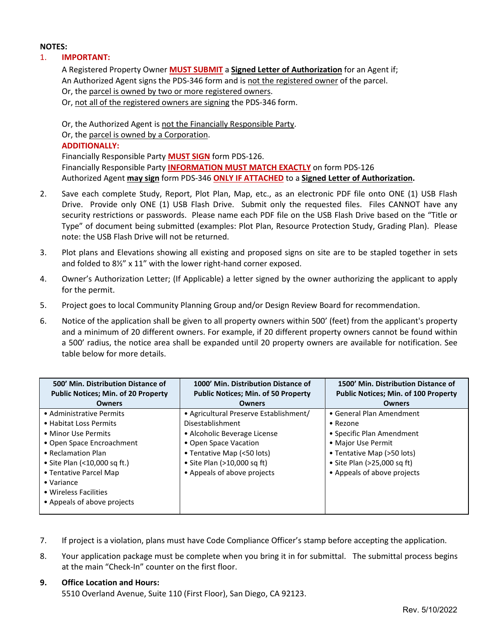#### **NOTES:**

#### 1. **IMPORTANT:**

A Registered Property Owner **MUST SUBMIT** a **Signed Letter of Authorization** for an Agent if; An Authorized Agent signs the PDS-346 form and is not the registered owner of the parcel. Or, the parcel is owned by two or more registered owners. Or, not all of the registered owners are signing the PDS-346 form.

Or, the Authorized Agent is not the Financially Responsible Party. Or, the parcel is owned by a Corporation. **ADDITIONALLY:**  Financially Responsible Party **MUST SIGN** form PDS-126. Financially Responsible Party **INFORMATION MUST MATCH EXACTLY** on form PDS-126

2. Save each complete Study, Report, Plot Plan, Map, etc., as an electronic PDF file onto ONE (1) USB Flash Drive. Provide only ONE (1) USB Flash Drive. Submit only the requested files. Files CANNOT have any security restrictions or passwords. Please name each PDF file on the USB Flash Drive based on the "Title or Type" of document being submitted (examples: Plot Plan, Resource Protection Study, Grading Plan). Please note: the USB Flash Drive will not be returned.

Authorized Agent **may sign** form PDS-346 **ONLY IF ATTACHED** to a **Signed Letter of Authorization.** 

- 3. Plot plans and Elevations showing all existing and proposed signs on site are to be stapled together in sets and folded to 8½" x 11" with the lower right-hand corner exposed.
- 4. Owner's Authorization Letter; (If Applicable) a letter signed by the owner authorizing the applicant to apply for the permit.
- 5. Project goes to local Community Planning Group and/or Design Review Board for recommendation.
- 6. Notice of the application shall be given to all property owners within 500' (feet) from the applicant's property and a minimum of 20 different owners. For example, if 20 different property owners cannot be found within a 500' radius, the notice area shall be expanded until 20 property owners are available for notification. See table below for more details.

| 500' Min. Distribution Distance of         | 1000' Min. Distribution Distance of        | 1500' Min. Distribution Distance of         |
|--------------------------------------------|--------------------------------------------|---------------------------------------------|
| <b>Public Notices; Min. of 20 Property</b> | <b>Public Notices; Min. of 50 Property</b> | <b>Public Notices; Min. of 100 Property</b> |
| <b>Owners</b>                              | <b>Owners</b>                              | <b>Owners</b>                               |
| • Administrative Permits                   | • Agricultural Preserve Establishment/     | • General Plan Amendment                    |
| • Habitat Loss Permits                     | Disestablishment                           | $\bullet$ Rezone                            |
| • Minor Use Permits                        | • Alcoholic Beverage License               | • Specific Plan Amendment                   |
| • Open Space Encroachment                  | • Open Space Vacation                      | • Major Use Permit                          |
| • Reclamation Plan                         | • Tentative Map (<50 lots)                 | • Tentative Map (>50 lots)                  |
| • Site Plan (<10,000 sq ft.)               | • Site Plan (>10,000 sq ft)                | • Site Plan (>25,000 sq ft)                 |
| • Tentative Parcel Map                     | • Appeals of above projects                | • Appeals of above projects                 |
| $\bullet$ Variance                         |                                            |                                             |
| • Wireless Facilities                      |                                            |                                             |
| • Appeals of above projects                |                                            |                                             |

- 7. If project is a violation, plans must have Code Compliance Officer's stamp before accepting the application.
- 8. Your application package must be complete when you bring it in for submittal. The submittal process begins at the main "Check-In" counter on the first floor.

#### **9. Office Location and Hours:**

5510 Overland Avenue, Suite 110 (First Floor), San Diego, CA 92123.